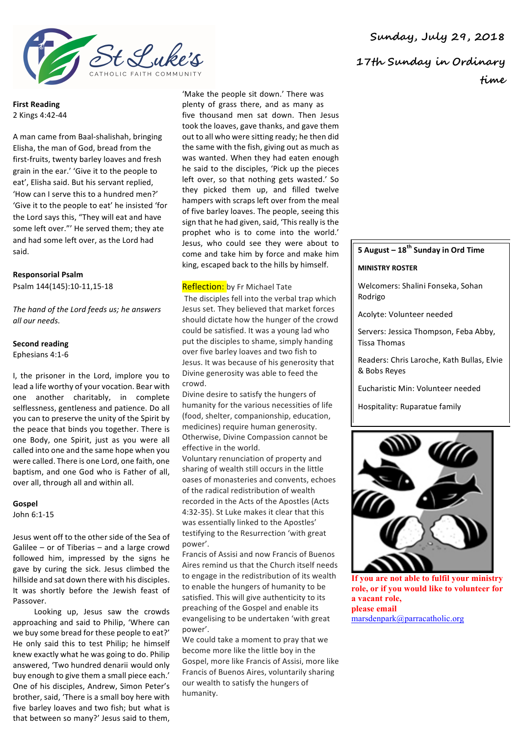

**First Reading** 2 Kings 4:42-44

A man came from Baal-shalishah, bringing Elisha, the man of God, bread from the first-fruits, twenty barley loaves and fresh grain in the ear.' 'Give it to the people to eat', Elisha said. But his servant replied, 'How can I serve this to a hundred men?' 'Give it to the people to eat' he insisted 'for the Lord says this, "They will eat and have some left over."' He served them: they ate and had some left over, as the Lord had said.

# **Responsorial Psalm**

Psalm 144(145):10-11,15-18

*The hand of the Lord feeds us; he answers all our needs.*

## **Second reading**

Ephesians 4:1-6

I, the prisoner in the Lord, implore you to lead a life worthy of your vocation. Bear with one another charitably, in complete selflessness, gentleness and patience. Do all you can to preserve the unity of the Spirit by the peace that binds you together. There is one Body, one Spirit, just as you were all called into one and the same hope when you were called. There is one Lord, one faith, one baptism, and one God who is Father of all, over all, through all and within all.

#### **Gospel** John 6:1-15

Jesus went off to the other side of the Sea of Galilee – or of Tiberias – and a large crowd followed him, impressed by the signs he gave by curing the sick. Jesus climbed the hillside and sat down there with his disciples. It was shortly before the Jewish feast of Passover.

Looking up, Jesus saw the crowds approaching and said to Philip, 'Where can we buy some bread for these people to eat?' He only said this to test Philip; he himself knew exactly what he was going to do. Philip answered, 'Two hundred denarii would only buy enough to give them a small piece each.' One of his disciples, Andrew, Simon Peter's brother, said, 'There is a small boy here with five barley loaves and two fish; but what is that between so many?' Jesus said to them,

'Make the people sit down.' There was plenty of grass there, and as many as five thousand men sat down. Then Jesus took the loaves, gave thanks, and gave them out to all who were sitting ready; he then did the same with the fish, giving out as much as was wanted. When they had eaten enough he said to the disciples, 'Pick up the pieces left over, so that nothing gets wasted.' So they picked them up, and filled twelve hampers with scraps left over from the meal of five barley loaves. The people, seeing this sign that he had given, said, 'This really is the prophet who is to come into the world.' Jesus, who could see they were about to come and take him by force and make him king, escaped back to the hills by himself.

#### **Reflection:** by Fr Michael Tate

The disciples fell into the verbal trap which Jesus set. They believed that market forces should dictate how the hunger of the crowd could be satisfied. It was a young lad who put the disciples to shame, simply handing over five barley loaves and two fish to Jesus. It was because of his generosity that Divine generosity was able to feed the crowd.

Divine desire to satisfy the hungers of humanity for the various necessities of life (food, shelter, companionship, education, medicines) require human generosity. Otherwise, Divine Compassion cannot be effective in the world.

Voluntary renunciation of property and sharing of wealth still occurs in the little oases of monasteries and convents, echoes of the radical redistribution of wealth recorded in the Acts of the Apostles (Acts 4:32-35). St Luke makes it clear that this was essentially linked to the Apostles' testifying to the Resurrection 'with great power'.

Francis of Assisi and now Francis of Buenos Aires remind us that the Church itself needs to engage in the redistribution of its wealth to enable the hungers of humanity to be satisfied. This will give authenticity to its preaching of the Gospel and enable its evangelising to be undertaken 'with great power'.

We could take a moment to pray that we become more like the little boy in the Gospel, more like Francis of Assisi, more like Francis of Buenos Aires, voluntarily sharing our wealth to satisfy the hungers of humanity.

**Sunday, July 29, 2018 17th Sunday in Ordinary time**

## **5 August – 18th Sunday in Ord Time**

#### **MINISTRY ROSTER**

Welcomers: Shalini Fonseka, Sohan Rodrigo

Acolyte: Volunteer needed

Servers: Jessica Thompson, Feba Abby, Tissa Thomas

Readers: Chris Laroche, Kath Bullas, Elvie & Bobs Reyes

Eucharistic Min: Volunteer needed

Hospitality: Ruparatue family



**If you are not able to fulfil your ministry role, or if you would like to volunteer for a vacant role, please email**  marsdenpark@parracatholic.org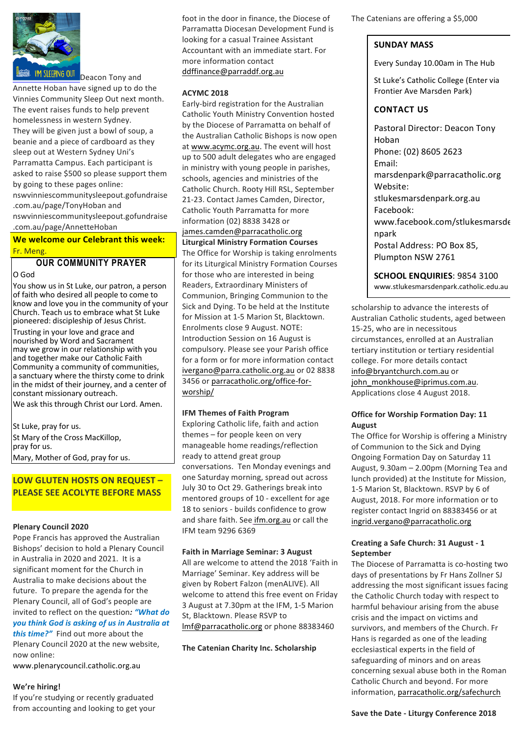

Deacon Tony and Annette Hoban have signed up to do the Vinnies Community Sleep Out next month. The event raises funds to help prevent homelessness in western Sydney. They will be given just a bowl of soup, a beanie and a piece of cardboard as they sleep out at Western Sydney Uni's Parramatta Campus. Each participant is asked to raise \$500 so please support them by going to these pages online: nswvinniescommunitysleepout.gofundraise .com.au/page/TonyHoban and nswvinniescommunitysleepout.gofundraise .com.au/page/AnnetteHoban

**We welcome our Celebrant this week:** Fr. Meng. 

# **OUR COMMUNITY PRAYER**

O God 

You show us in St Luke, our patron, a person of faith who desired all people to come to know and love you in the community of your Church. Teach us to embrace what  $St$  Luke pioneered: discipleship of Jesus Christ.

Trusting in your love and grace and nourished by Word and Sacrament may we grow in our relationship with you and together make our Catholic Faith Community a community of communities, a sanctuary where the thirsty come to drink in the midst of their journey, and a center of constant missionary outreach.

We ask this through Christ our Lord. Amen.

St Luke, pray for us. St Mary of the Cross MacKillop, pray for us. Mary, Mother of God, pray for us.

**LOW GLUTEN HOSTS ON REQUEST – PLEASE SEE ACOLYTE BEFORE MASS** 

#### **Plenary Council 2020**

Pope Francis has approved the Australian Bishops' decision to hold a Plenary Council in Australia in 2020 and 2021. It is a significant moment for the Church in Australia to make decisions about the future. To prepare the agenda for the Plenary Council, all of God's people are invited to reflect on the question: "What do *you think God is asking of us in Australia at this time?"* Find out more about the

Plenary Council 2020 at the new website, now online: 

www.plenarycouncil.catholic.org.au

#### **We're hiring!**

If you're studying or recently graduated from accounting and looking to get your foot in the door in finance, the Diocese of Parramatta Diocesan Development Fund is looking for a casual Trainee Assistant Accountant with an immediate start. For more information contact ddffinance@parraddf.org.au

### **ACYMC 2018**

Early-bird registration for the Australian Catholic Youth Ministry Convention hosted by the Diocese of Parramatta on behalf of the Australian Catholic Bishops is now open at www.acymc.org.au. The event will host up to 500 adult delegates who are engaged in ministry with young people in parishes, schools, agencies and ministries of the Catholic Church, Rooty Hill RSL, September 21-23. Contact James Camden, Director, Catholic Youth Parramatta for more information (02) 8838 3428 or james.camden@parracatholic.org **Liturgical Ministry Formation Courses** The Office for Worship is taking enrolments for its Liturgical Ministry Formation Courses for those who are interested in being Readers, Extraordinary Ministers of

Communion, Bringing Communion to the Sick and Dying. To be held at the Institute for Mission at 1-5 Marion St. Blacktown. Enrolments close 9 August. NOTE: Introduction Session on 16 August is compulsory. Please see your Parish office for a form or for more information contact ivergano@parra.catholic.org.au or 02 8838 3456 or parracatholic.org/office-forworship/

#### **IFM Themes of Faith Program**

Exploring Catholic life, faith and action themes  $-$  for people keen on very manageable home readings/reflection ready to attend great group conversations. Ten Monday evenings and one Saturday morning, spread out across July 30 to Oct 29. Gatherings break into mentored groups of 10 - excellent for age 18 to seniors - builds confidence to grow and share faith. See ifm.org.au or call the IFM team 9296 6369

#### **Faith in Marriage Seminar: 3 August**

All are welcome to attend the 2018 'Faith in Marriage' Seminar. Key address will be given by Robert Falzon (menALIVE). All welcome to attend this free event on Friday 3 August at 7.30pm at the IFM, 1-5 Marion St, Blacktown. Please RSVP to Imf@parracatholic.org or phone 88383460

**The Catenian Charity Inc. Scholarship** 

The Catenians are offering a \$5,000

### **SUNDAY MASS**

Every Sunday 10.00am in The Hub

St Luke's Catholic College (Enter via Frontier Ave Marsden Park)

## **CONTACT US**

Pastoral Director: Deacon Tony Hoban Phone: (02) 8605 2623 Email: marsdenpark@parracatholic.org Website: stlukesmarsdenpark.org.au Facebook: www.facebook.com/stlukesmarsde npark Postal Address: PO Box 85. Plumpton NSW 2761

**SCHOOL ENQUIRIES: 9854 3100** www.stlukesmarsdenpark.catholic.edu.au

scholarship to advance the interests of Australian Catholic students, aged between 15-25, who are in necessitous circumstances, enrolled at an Australian tertiary institution or tertiary residential college. For more details contact info@bryantchurch.com.au or john\_monkhouse@iprimus.com.au. Applications close 4 August 2018.

#### **Office for Worship Formation Day: 11 August**

The Office for Worship is offering a Ministry of Communion to the Sick and Dving Ongoing Formation Day on Saturday 11 August,  $9.30$ am  $- 2.00$ pm (Morning Tea and lunch provided) at the Institute for Mission, 1-5 Marion St, Blacktown. RSVP by 6 of August, 2018. For more information or to register contact Ingrid on 88383456 or at ingrid.vergano@parracatholic.org

#### **Creating a Safe Church: 31 August - 1 September**

The Diocese of Parramatta is co-hosting two days of presentations by Fr Hans Zollner SJ addressing the most significant issues facing the Catholic Church today with respect to harmful behaviour arising from the abuse crisis and the impact on victims and survivors, and members of the Church. Fr Hans is regarded as one of the leading ecclesiastical experts in the field of safeguarding of minors and on areas concerning sexual abuse both in the Roman Catholic Church and beyond. For more information, parracatholic.org/safechurch